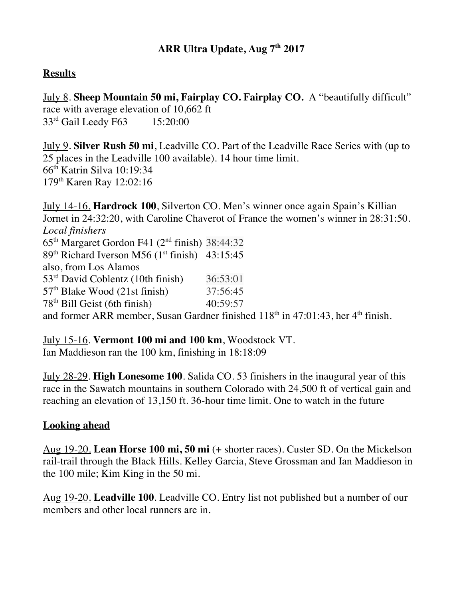## **Results**

July 8. **Sheep Mountain 50 mi, Fairplay CO. Fairplay CO.** A "beautifully difficult" race with average elevation of 10,662 ft 33<sup>rd</sup> Gail Leedy F63 15:20:00

July 9. **Silver Rush 50 mi**, Leadville CO. Part of the Leadville Race Series with (up to 25 places in the Leadville 100 available). 14 hour time limit. 66th Katrin Silva 10:19:34 179th Karen Ray 12:02:16

July 14-16. **Hardrock 100**, Silverton CO. Men's winner once again Spain's Killian Jornet in 24:32:20, with Caroline Chaverot of France the women's winner in 28:31:50. *Local finishers*  $65<sup>th</sup>$  Margaret Gordon F41 ( $2<sup>nd</sup>$  finish) 38:44:32 89<sup>th</sup> Richard Iverson M56 (1<sup>st</sup> finish) 43:15:45 also, from Los Alamos 53rd David Coblentz (10th finish) 36:53:01  $57<sup>th</sup>$  Blake Wood (21st finish)  $37:56:45$  $78<sup>th</sup>$  Bill Geist (6th finish)  $40:59:57$ and former ARR member, Susan Gardner finished  $118<sup>th</sup>$  in 47:01:43, her  $4<sup>th</sup>$  finish.

July 15-16. **Vermont 100 mi and 100 km**, Woodstock VT. Ian Maddieson ran the 100 km, finishing in 18:18:09

July 28-29. **High Lonesome 100**. Salida CO. 53 finishers in the inaugural year of this race in the Sawatch mountains in southern Colorado with 24,500 ft of vertical gain and reaching an elevation of 13,150 ft. 36-hour time limit. One to watch in the future

## **Looking ahead**

Aug 19-20. **Lean Horse 100 mi, 50 mi** (+ shorter races). Custer SD. On the Mickelson rail-trail through the Black Hills. Kelley Garcia, Steve Grossman and Ian Maddieson in the 100 mile; Kim King in the 50 mi.

Aug 19-20. **Leadville 100**. Leadville CO. Entry list not published but a number of our members and other local runners are in.